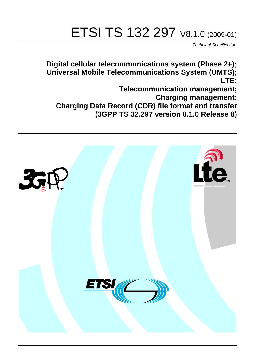# ETSI TS 132 297 V8.1.0 (2009-01)

*Technical Specification*

**Digital cellular telecommunications system (Phase 2+); Universal Mobile Telecommunications System (UMTS); LTE;**

**Telecommunication management;**

**Charging management;**

**Charging Data Record (CDR) file format and transfer** 

**(3GPP TS 32.297 version 8.1.0 Release 8)**

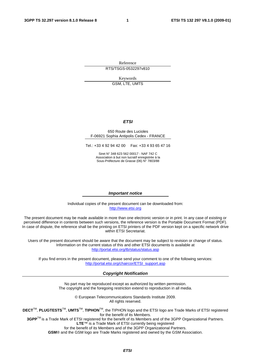Reference RTS/TSGS-0532297v810

Keywords

GSM, LTE, UMTS

#### *ETSI*

#### 650 Route des Lucioles F-06921 Sophia Antipolis Cedex - FRANCE

Tel.: +33 4 92 94 42 00 Fax: +33 4 93 65 47 16

Siret N° 348 623 562 00017 - NAF 742 C Association à but non lucratif enregistrée à la Sous-Préfecture de Grasse (06) N° 7803/88

#### *Important notice*

Individual copies of the present document can be downloaded from: [http://www.etsi.org](http://www.etsi.org/)

The present document may be made available in more than one electronic version or in print. In any case of existing or perceived difference in contents between such versions, the reference version is the Portable Document Format (PDF). In case of dispute, the reference shall be the printing on ETSI printers of the PDF version kept on a specific network drive within ETSI Secretariat.

Users of the present document should be aware that the document may be subject to revision or change of status. Information on the current status of this and other ETSI documents is available at <http://portal.etsi.org/tb/status/status.asp>

If you find errors in the present document, please send your comment to one of the following services: [http://portal.etsi.org/chaircor/ETSI\\_support.asp](http://portal.etsi.org/chaircor/ETSI_support.asp)

#### *Copyright Notification*

No part may be reproduced except as authorized by written permission. The copyright and the foregoing restriction extend to reproduction in all media.

> © European Telecommunications Standards Institute 2009. All rights reserved.

**DECT**TM, **PLUGTESTS**TM, **UMTS**TM, **TIPHON**TM, the TIPHON logo and the ETSI logo are Trade Marks of ETSI registered for the benefit of its Members.

**3GPP**TM is a Trade Mark of ETSI registered for the benefit of its Members and of the 3GPP Organizational Partners. **LTE**™ is a Trade Mark of ETSI currently being registered

for the benefit of its Members and of the 3GPP Organizational Partners.

**GSM**® and the GSM logo are Trade Marks registered and owned by the GSM Association.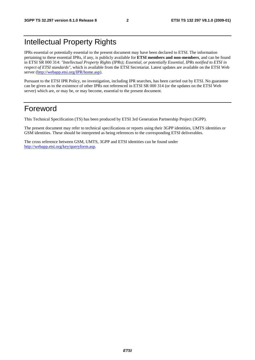### Intellectual Property Rights

IPRs essential or potentially essential to the present document may have been declared to ETSI. The information pertaining to these essential IPRs, if any, is publicly available for **ETSI members and non-members**, and can be found in ETSI SR 000 314: *"Intellectual Property Rights (IPRs); Essential, or potentially Essential, IPRs notified to ETSI in respect of ETSI standards"*, which is available from the ETSI Secretariat. Latest updates are available on the ETSI Web server [\(http://webapp.etsi.org/IPR/home.asp](http://webapp.etsi.org/IPR/home.asp)).

Pursuant to the ETSI IPR Policy, no investigation, including IPR searches, has been carried out by ETSI. No guarantee can be given as to the existence of other IPRs not referenced in ETSI SR 000 314 (or the updates on the ETSI Web server) which are, or may be, or may become, essential to the present document.

### Foreword

This Technical Specification (TS) has been produced by ETSI 3rd Generation Partnership Project (3GPP).

The present document may refer to technical specifications or reports using their 3GPP identities, UMTS identities or GSM identities. These should be interpreted as being references to the corresponding ETSI deliverables.

The cross reference between GSM, UMTS, 3GPP and ETSI identities can be found under <http://webapp.etsi.org/key/queryform.asp>.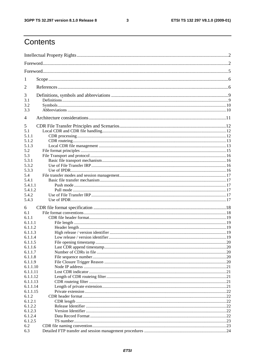$\mathbf{3}$ 

## Contents

| 1              |  |  |  |  |  |
|----------------|--|--|--|--|--|
| 2              |  |  |  |  |  |
| 3              |  |  |  |  |  |
| 3.1            |  |  |  |  |  |
| 3.2            |  |  |  |  |  |
| 3.3            |  |  |  |  |  |
| $\overline{4}$ |  |  |  |  |  |
| 5              |  |  |  |  |  |
| 5.1            |  |  |  |  |  |
| 5.1.1          |  |  |  |  |  |
| 5.1.2          |  |  |  |  |  |
| 5.1.3          |  |  |  |  |  |
| 5.2            |  |  |  |  |  |
| 5.3            |  |  |  |  |  |
| 5.3.1          |  |  |  |  |  |
| 5.3.2          |  |  |  |  |  |
|                |  |  |  |  |  |
| 5.3.3          |  |  |  |  |  |
| 5.4            |  |  |  |  |  |
| 5.4.1          |  |  |  |  |  |
| 5.4.1.1        |  |  |  |  |  |
| 5.4.1.2        |  |  |  |  |  |
| 5.4.2          |  |  |  |  |  |
| 5.4.3          |  |  |  |  |  |
| 6              |  |  |  |  |  |
| 6.1            |  |  |  |  |  |
| 6.1.1          |  |  |  |  |  |
| 6.1.1.1        |  |  |  |  |  |
| 6.1.1.2        |  |  |  |  |  |
| 6.1.1.3        |  |  |  |  |  |
| 6.1.1.4        |  |  |  |  |  |
| 6.1.1.5        |  |  |  |  |  |
| 6.1.1.6        |  |  |  |  |  |
| 6.1.1.7        |  |  |  |  |  |
| 6.1.1.8        |  |  |  |  |  |
|                |  |  |  |  |  |
| 6.1.1.9        |  |  |  |  |  |
| 6.1.1.10       |  |  |  |  |  |
| 6.1.1.11       |  |  |  |  |  |
| 6.1.1.12       |  |  |  |  |  |
| 6.1.1.13       |  |  |  |  |  |
| 6.1.1.14       |  |  |  |  |  |
| 6.1.1.15       |  |  |  |  |  |
| 6.1.2          |  |  |  |  |  |
| 6.1.2.1        |  |  |  |  |  |
| 6.1.2.2        |  |  |  |  |  |
| 6.1.2.3        |  |  |  |  |  |
| 6.1.2.4        |  |  |  |  |  |
| 6.1.2.5        |  |  |  |  |  |
| 6.2            |  |  |  |  |  |
| 6.3            |  |  |  |  |  |
|                |  |  |  |  |  |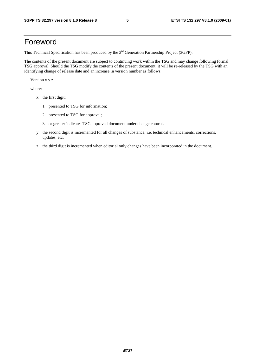### Foreword

This Technical Specification has been produced by the 3<sup>rd</sup> Generation Partnership Project (3GPP).

The contents of the present document are subject to continuing work within the TSG and may change following formal TSG approval. Should the TSG modify the contents of the present document, it will be re-released by the TSG with an identifying change of release date and an increase in version number as follows:

Version x.y.z

where:

- x the first digit:
	- 1 presented to TSG for information;
	- 2 presented to TSG for approval;
	- 3 or greater indicates TSG approved document under change control.
- y the second digit is incremented for all changes of substance, i.e. technical enhancements, corrections, updates, etc.
- z the third digit is incremented when editorial only changes have been incorporated in the document.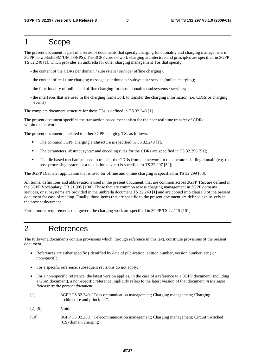### 1 Scope

The present document is part of a series of documents that specify charging functionality and charging management in 3GPP networks(GSM/UMTS/EPS). The 3GPP core network charging architecture and principles are specified in 3GPP TS 32.240 [1], which provides an umbrella for other charging management TSs that specify:

- the content of the CDRs per domain / subsystem / service (offline charging),
- the content of real-time charging messages per domain / subsystem / service (online charging);
- the functionality of online and offline charging for those domains / subsystems / services;
- the interfaces that are used in the charging framework to transfer the charging information (i.e. CDRs or charging events)

The complete document structure for these TSs is defined in TS 32.240 [1].

The present document specifies the transaction based mechanism for the near real time transfer of CDRs within the network.

The present document is related to other 3GPP charging TSs as follows:

- The common 3GPP charging architecture is specified in TS 32.240 [1];<br>The parameters abstract syntax and encoding rules for the CDRs are sp
- The parameters, abstract syntax and encoding rules for the CDRs are specified in TS 32.298 [51];
- The file based mechanism used to transfer the CDRs from the network to the operator's billing domain (e.g. the post-processing system or a mediation device) is specified in TS 32.297 [52];

The 3GPP Diameter application that is used for offline and online charging is specified in TS 32.299 [50].

All terms, definitions and abbreviations used in the present document, that are common across 3GPP TSs, are defined in the 3GPP Vocabulary, TR 21.905 [100]. Those that are common across charging management in 3GPP domains services, or subsystems are provided in the umbrella document TS 32.240 [1] and are copied into clause 3 of the present document for ease of reading. Finally, those items that are specific to the present document are defined exclusively in the present document.

Furthermore, requirements that govern the charging work are specified in 3GPP TS 22.115 [101].

### 2 References

The following documents contain provisions which, through reference in this text, constitute provisions of the present document.

- References are either specific (identified by date of publication, edition number, version number, etc.) or non-specific.
- For a specific reference, subsequent revisions do not apply.
- For a non-specific reference, the latest version applies. In the case of a reference to a 3GPP document (including a GSM document), a non-specific reference implicitly refers to the latest version of that document *in the same Release as the present document*.
- [1] 3GPP TS 32.240: "Telecommunication management; Charging management; Charging architecture and principles".
- [2]-[9] Void.
- [10] 3GPP TS 32.250: "Telecommunication management; Charging management; Circuit Switched (CS) domain charging".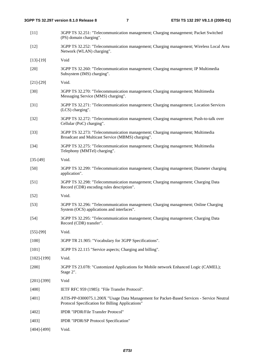| $[11]$            | 3GPP TS 32.251: "Telecommunication management; Charging management; Packet Switched<br>(PS) domain charging".                                 |
|-------------------|-----------------------------------------------------------------------------------------------------------------------------------------------|
| $[12]$            | 3GPP TS 32.252: "Telecommunication management; Charging management; Wireless Local Area<br>Network (WLAN) charging".                          |
| $[13]-[19]$       | Void                                                                                                                                          |
| $[20]$            | 3GPP TS 32.260: "Telecommunication management; Charging management; IP Multimedia<br>Subsystem (IMS) charging".                               |
| $[21] - [29]$     | Void.                                                                                                                                         |
| $[30]$            | 3GPP TS 32.270: "Telecommunication management; Charging management; Multimedia<br>Messaging Service (MMS) charging".                          |
| $[31]$            | 3GPP TS 32.271: "Telecommunication management; Charging management; Location Services<br>(LCS) charging".                                     |
| $[32]$            | 3GPP TS 32.272: "Telecommunication management; Charging management; Push-to-talk over<br>Cellular (PoC) charging".                            |
| $[33]$            | 3GPP TS 32.273: "Telecommunication management; Charging management; Multimedia<br>Broadcast and Multicast Service (MBMS) charging".           |
| $[34]$            | 3GPP TS 32.275: "Telecommunication management; Charging management; Multimedia<br>Telephony (MMTel) charging".                                |
| $[35-[49]$        | Void.                                                                                                                                         |
| $[50]$            | 3GPP TS 32.299: "Telecommunication management; Charging management; Diameter charging<br>application".                                        |
| $[51]$            | 3GPP TS 32.298: "Telecommunication management; Charging management; Charging Data<br>Record (CDR) encoding rules description".                |
| $[52]$            | Void.                                                                                                                                         |
| $[53]$            | 3GPP TS 32.296: "Telecommunication management; Charging management; Online Charging<br>System (OCS) applications and interfaces".             |
| $[54]$            | 3GPP TS 32.295: "Telecommunication management; Charging management; Charging Data<br>Record (CDR) transfer".                                  |
| $[55]-[99]$       | Void.                                                                                                                                         |
| $[100]$           | 3GPP TR 21.905: "Vocabulary for 3GPP Specifications".                                                                                         |
| [101]             | 3GPP TS 22.115 "Service aspects; Charging and billing".                                                                                       |
| $[102] - [199]$   | Void.                                                                                                                                         |
| $[200]$           | 3GPP TS 23.078: "Customized Applications for Mobile network Enhanced Logic (CAMEL);<br>Stage 2".                                              |
| $[201]$ - $[399]$ | Void                                                                                                                                          |
| $[400]$           | IETF RFC 959 (1985): "File Transfer Protocol".                                                                                                |
| $[401]$           | ATIS-PP-0300075.1.200X "Usage Data Management for Packet-Based Services - Service Neutral<br>Protocol Specification for Billing Applications" |
| $[402]$           | IPDR "IPDR/File Transfer Protocol"                                                                                                            |
| [403]             | IPDR "IPDR/SP Protocol Specification"                                                                                                         |
| $[404]$ - $[499]$ | Void.                                                                                                                                         |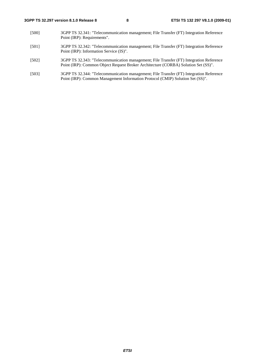- [500] 3GPP TS 32.341: "Telecommunication management; File Transfer (FT) Integration Reference Point (IRP): Requirements".
- [501] 3GPP TS 32.342: "Telecommunication management; File Transfer (FT) Integration Reference Point (IRP): Information Service (IS)".
- [502] 3GPP TS 32.343: "Telecommunication management; File Transfer (FT) Integration Reference Point (IRP): Common Object Request Broker Architecture (CORBA) Solution Set (SS)".
- [503] 3GPP TS 32.344: "Telecommunication management; File Transfer (FT) Integration Reference Point (IRP): Common Management Information Protocol (CMIP) Solution Set (SS)".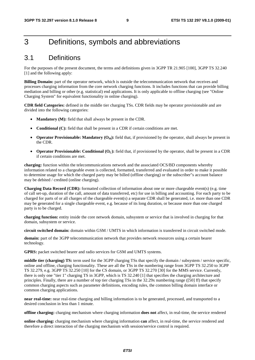### 3 Definitions, symbols and abbreviations

### 3.1 Definitions

For the purposes of the present document, the terms and definitions given in 3GPP TR 21.905 [100], 3GPP TS 32.240 [1] and the following apply:

**Billing Domain:** part of the operator network, which is outside the telecommunication network that receives and processes charging information from the core network charging functions. It includes functions that can provide billing mediation and billing or other (e.g. statistical) end applications. It is only applicable to offline charging (see "Online Charging System" for equivalent functionality in online charging).

**CDR field Categories:** defined in the middle tier charging TSs. CDR fields may be operator provisionable and are divided into the following categories:

- **Mandatory (M):** field that shall always be present in the CDR.
- **Conditional (C):** field that shall be present in a CDR if certain conditions are met.
- **Operator Provisionable: Mandatory**  $(O_M)$ **:** field that, if provisioned by the operator, shall always be present in the CDR.
- **Operator Provisionable: Conditional (O<sub>C</sub>):** field that, if provisioned by the operator, shall be present in a CDR if certain conditions are met.

**charging:** function within the telecommunications network and the associated OCS/BD components whereby information related to a chargeable event is collected, formatted, transferred and evaluated in order to make it possible to determine usage for which the charged party may be billed (offline charging) or the subscriber"s account balance may be debited / credited (online charging).

**Charging Data Record (CDR):** formatted collection of information about one or more chargeable event(s) (e.g. time of call set-up, duration of the call, amount of data transferred, etc) for use in billing and accounting. For each party to be charged for parts of or all charges of the chargeable event(s) a separate CDR shall be generated, i.e. more than one CDR may be generated for a single chargeable event, e.g. because of its long duration, or because more than one charged party is to be charged.

**charging function:** entity inside the core network domain, subsystem or service that is involved in charging for that domain, subsystem or service.

**circuit switched domain:** domain within GSM / UMTS in which information is transferred in circuit switched mode.

**domain:** part of the 3GPP telecommunication network that provides network resources using a certain bearer technology.

**GPRS:** packet switched bearer and radio services for GSM and UMTS systems.

**middle tier (charging) TS:** term used for the 3GPP charging TSs that specify the domain / subsystem / service specific, online and offline, charging functionality. These are all the TSs in the numbering range from 3GPP TS 32.250 to 3GPP TS 32.279, e.g. 3GPP TS 32.250 [10] for the CS domain, or 3GPP TS 32.270 [30] for the MMS service. Currently, there is only one "tier 1" charging TS in 3GPP, which is TS 32.240 [1] that specifies the charging architecture and principles. Finally, there are a number of top tier charging TSs in the 32.29x numbering range ([50] ff) that specify common charging aspects such as parameter definitions, encoding rules, the common billing domain interface or common charging applications.

**near real-time:** near real-time charging and billing information is to be generated, processed, and transported to a desired conclusion in less than 1 minute.

**offline charging:** charging mechanism where charging information **does not** affect, in real-time, the service rendered

**online charging:** charging mechanism where charging information **can** affect, in real-time, the service rendered and therefore a direct interaction of the charging mechanism with session/service control is required.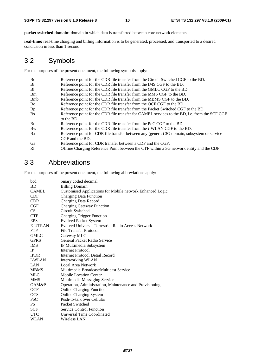**packet switched domain:** domain in which data is transferred between core network elements.

**real-time:** real-time charging and billing information is to be generated, processed, and transported to a desired conclusion in less than 1 second.

### 3.2 Symbols

For the purposes of the present document, the following symbols apply:

| Bc          | Reference point for the CDR file transfer from the Circuit Switched CGF to the BD.            |
|-------------|-----------------------------------------------------------------------------------------------|
| Bi          | Reference point for the CDR file transfer from the IMS CGF to the BD.                         |
| B1          | Reference point for the CDR file transfer from the GMLC CGF to the BD.                        |
| <b>B</b> m  | Reference point for the CDR file transfer from the MMS CGF to the BD.                         |
| <b>B</b> mb | Reference point for the CDR file transfer from the MBMS CGF to the BD.                        |
| Bo          | Reference point for the CDR file transfer from the OCF CGF to the BD.                         |
| <b>Bp</b>   | Reference point for the CDR file transfer from the Packet Switched CGF to the BD.             |
| <b>Bs</b>   | Reference point for the CDR file transfer for CAMEL services to the BD, i.e. from the SCF CGF |
|             | to the BD.                                                                                    |
| <b>Bt</b>   | Reference point for the CDR file transfer from the PoC CGF to the BD.                         |
| Bw          | Reference point for the CDR file transfer from the <i>I</i> -WLAN CGF to the BD.              |
| Bx          | Reference point for CDR file transfer between any (generic) 3G domain, subsystem or service   |
|             | CGF and the BD.                                                                               |
| Ga          | Reference point for CDR transfer between a CDF and the CGF.                                   |
| Rf          | Offline Charging Reference Point between the CTF within a 3G network entity and the CDF.      |
|             |                                                                                               |

### 3.3 Abbreviations

For the purposes of the present document, the following abbreviations apply:

| bcd            | binary coded decimal                                      |
|----------------|-----------------------------------------------------------|
| <b>BD</b>      | <b>Billing Domain</b>                                     |
| <b>CAMEL</b>   | Customised Applications for Mobile network Enhanced Logic |
| <b>CDF</b>     | <b>Charging Data Function</b>                             |
| <b>CDR</b>     | Charging Data Record                                      |
| CGF            | <b>Charging Gateway Function</b>                          |
| <b>CS</b>      | Circuit Switched                                          |
| <b>CTF</b>     | <b>Charging Trigger Function</b>                          |
| <b>EPS</b>     | <b>Evolved Packet System</b>                              |
| <b>E-UTRAN</b> | <b>Evolved Universal Terrestrial Radio Access Network</b> |
| <b>FTP</b>     | <b>File Transfer Protocol</b>                             |
| <b>GMLC</b>    | Gateway MLC                                               |
| <b>GPRS</b>    | General Packet Radio Service                              |
| <b>IMS</b>     | IP Multimedia Subsystem                                   |
| <b>IP</b>      | Internet Protocol                                         |
| <b>IPDR</b>    | Internet Protocol Detail Record                           |
| <b>I-WLAN</b>  | Interworking WLAN                                         |
| LAN            | Local Area Network                                        |
| <b>MBMS</b>    | Multimedia Broadcast/Multicast Service                    |
| <b>MLC</b>     | <b>Mobile Location Center</b>                             |
| <b>MMS</b>     | Multimedia Messaging Service                              |
| OAM&P          | Operation, Administration, Maintenance and Provisioning   |
| <b>OCF</b>     | <b>Online Charging Function</b>                           |
| <b>OCS</b>     | <b>Online Charging System</b>                             |
| PoC            | Push-to-talk over Cellular                                |
| <b>PS</b>      | Packet Switched                                           |
| <b>SCF</b>     | <b>Service Control Function</b>                           |
| <b>UTC</b>     | Universal Time Coordinated                                |
| <b>WLAN</b>    | Wireless LAN                                              |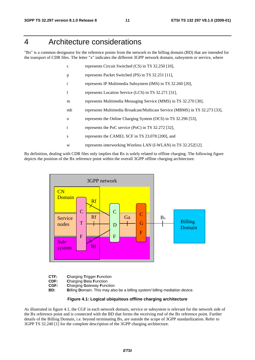### 4 Architecture considerations

"Bx" is a common designator for the reference points from the network to the billing domain (BD) that are intended for the transport of CDR files. The letter "x" indicates the different 3GPP network domain, subsystem or service, where

- c represents Circuit Switched (CS) in TS 32.250 [10],
- p represents Packet Switched (PS) in TS 32.251 [11],
- i represents IP Multimedia Subsystem (IMS) in TS 32.260 [20],
- l represents Location Service (LCS) in TS 32.271 [31],
- m represents Multimedia Messaging Service (MMS) in TS 32.270 [30],
- mb represents Multimedia Broadcast/Multicast Service (MBMS) in TS 32.273 [33],
- o represents the Online Charging System (OCS) in TS 32.296 [53],
- t represents the PoC service (PoC) in TS 32.272 [32],
- s represents the CAMEL SCF in TS 23.078 [200], and
- w represents interworking Wireless LAN (I-WLAN) in TS 32.252[12].

By definition, dealing with CDR files only implies that Bx is solely related to offline charging. The following figure depicts the position of the Bx reference point within the overall 3GPP offline charging architecture.

![](_page_11_Figure_16.jpeg)

- **CTF:** Charging Trigger Function<br>**CDF:** Charging Data Function
- **CDF: Charging Data Function**<br>**CGF: Charging Gateway Function**
- **Charging Gateway Function**
- **BD: B**illing **D**omain. This may also be a billing system/ billing mediation device.

#### **Figure 4.1: Logical ubiquitous offline charging architecture**

As illustrated in figure 4.1, the CGF in each network domain, service or subsystem is relevant for the network side of the Bx reference point and is connected with the BD that forms the receiving end of the Bx reference point. Further details of the Billing Domain, i.e. beyond terminating Bx, are outside the scope of 3GPP standardization. Refer to 3GPP TS 32.240 [1] for the complete description of the 3GPP charging architecture.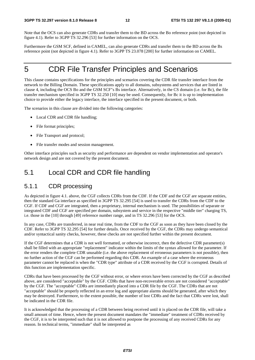Note that the OCS can also generate CDRs and transfer them to the BD across the Bo reference point (not depicted in figure 4.1). Refer to 3GPP TS 32.296 [53] for further information on the OCS.

Furthermore the GSM SCF, defined in CAMEL, can also generate CDRs and transfer them to the BD across the Bs reference point (not depicted in figure 4.1). Refer to 3GPP TS 23.078 [200] for further information on CAMEL.

### 5 CDR File Transfer Principles and Scenarios

This clause contains specifications for the principles and scenarios covering the CDR file transfer interface from the network to the Billing Domain. These specifications apply to all domains, subsystems and services that are listed in clause 4, including the OCS Bo and the GSM SCF"s Bs interface. Alternatively, in the CS domain (i.e. for Bc), the file transfer mechanism specified in 3GPP TS 32.250 [10] may be used. Consequently, for Bc it is up to implementation choice to provide either the legacy interface, the interface specified in the present document, or both.

The scenarios in this clause are divided into the following categories:

- Local CDR and CDR file handling;
- File format principles;
- File Transport and protocol;
- File transfer modes and session management.

Other interface principles such as security and performance are dependent on vendor implementation and operator's network design and are not covered by the present document.

### 5.1 Local CDR and CDR file handling

#### 5.1.1 CDR processing

As depicted in figure 4.1. above, the CGF collects CDRs from the CDF. If the CDF and the CGF are separate entities, then the standard Ga interface as specified in 3GPP TS 32.295 [54] is used to transfer the CDRs from the CDF to the CGF. If CDF and CGF are integrated, then a proprietary, internal mechanism is used. The possibilities of separate or integrated CDF and CGF are specified per domain, subsystem and service in the respective "middle tier" charging TS, i.e. those in the [10] through [49] reference number range, and in TS 32.296 [53] for the OCS.

In any case, CDRs are transferred, in near real time, from the CDF to the CGF as soon as they have been closed by the CDF. Refer to 3GPP TS 32.295 [54] for further details. Once received by the CGF, the CDRs may undergo semantical and/or syntactical sanity checks, however, these checks are not specified further within the present document.

If the CGF determines that a CDR is not well formatted, or otherwise incorrect, then the defective CDR parameter(s) shall be filled with an appropriate "replacement" indicator within the limits of the syntax allowed for the parameter. If the error renders the complete CDR unusable (i.e. the above replacement of erroneous parameters is not possible), then no further action of the CGF can be performed regarding this CDR. An example of a case where the erroneous parameter cannot be replaced is when the "CDR type" attribute of a CDR received by the CGF is corrupted. Details of this function are implementation specific.

CDRs that have been processed by the CGF without error, or where errors have been corrected by the CGF as described above, are considered "acceptable" by the CGF. CDRs that have non-recoverable errors are not considered "acceptable" by the CGF. The "acceptable" CDRs are immediately placed into a CDR file by the CGF. The CDRs that are not "acceptable" should be properly reflected in an error log and appropriate alarms should be generated, after which they may be destroyed. Furthermore, to the extent possible, the number of lost CDRs and the fact that CDRs were lost, shall be indicated in the CDR file.

It is acknowledged that the processing of a CDR between being received until it is placed on the CDR file, will take a small amount of time. Hence, where the present document mandates the "immediate" treatment of CDRs received by the CGF, it is to be interpreted such that it is not allowed to postpone the processing of any received CDRs for any reason. In technical terms, "immediate" shall be interpreted as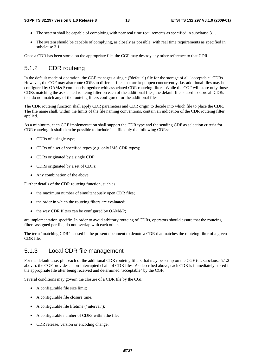- The system shall be capable of complying with near real time requirements as specified in subclause 3.1.
- The system should be capable of complying, as closely as possible, with real time requirements as specified in subclause 3.1.

Once a CDR has been stored on the appropriate file, the CGF may destroy any other reference to that CDR.

#### 5.1.2 CDR routeing

In the default mode of operation, the CGF manages a single ("default") file for the storage of all "acceptable" CDRs. However, the CGF may also route CDRs to different files that are kept open concurrently, i.e. additional files may be configured by OAM&P commands together with associated CDR routeing filters. While the CGF will store only those CDRs matching the associated routeing filter on each of the additional files, the default file is used to store all CDRs that do not match any of the routeing filters configured for the additional files.

The CDR routeing function shall apply CDR parameters and CDR origin to decide into which file to place the CDR. The file name shall, within the limits of the file naming conventions, contain an indication of the CDR routeing filter applied.

As a minimum, each CGF implementation shall support the CDR type and the sending CDF as selection criteria for CDR routeing. It shall then be possible to include in a file only the following CDRs:

- CDRs of a single type;
- CDRs of a set of specified types (e.g. only IMS CDR types);
- CDRs originated by a single CDF:
- CDRs originated by a set of CDFs;
- Any combination of the above.

Further details of the CDR routeing function, such as

- the maximum number of simultaneously open CDR files;
- the order in which the routeing filters are evaluated;
- the way CDR filters can be configured by OAM&P;

are implementation specific. In order to avoid arbitrary routeing of CDRs, operators should assure that the routeing filters assigned per file, do not overlap with each other.

The term "matching CDR" is used in the present document to denote a CDR that matches the routeing filter of a given CDR file.

#### 5.1.3 Local CDR file management

For the default case, plus each of the additional CDR routeing filters that may be set up on the CGF (cf. subclause 5.1.2 above), the CGF provides a non-interrupted chain of CDR files. As described above, each CDR is immediately stored in the appropriate file after being received and determined "acceptable" by the CGF.

Several conditions may govern the closure of a CDR file by the CGF:

- A configurable file size limit;
- A configurable file closure time;
- A configurable file lifetime ("interval");
- A configurable number of CDRs within the file;
- CDR release, version or encoding change;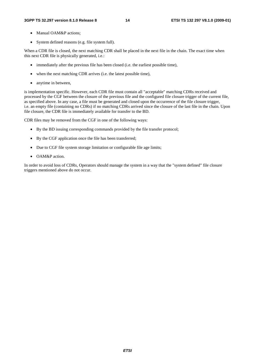- Manual OAM&P actions:
- System defined reasons (e.g. file system full).

When a CDR file is closed, the next matching CDR shall be placed in the next file in the chain. The exact time when this next CDR file is physically generated, i.e.:

- immediately after the previous file has been closed (i.e. the earliest possible time),
- when the next matching CDR arrives (i.e. the latest possible time),
- anytime in between,

is implementation specific. However, each CDR file must contain all "acceptable" matching CDRs received and processed by the CGF between the closure of the previous file and the configured file closure trigger of the current file, as specified above. In any case, a file must be generated and closed upon the occurrence of the file closure trigger, i.e. an empty file (containing no CDRs) if no matching CDRs arrived since the closure of the last file in the chain. Upon file closure, the CDR file is immediately available for transfer to the BD.

CDR files may be removed from the CGF in one of the following ways:

- By the BD issuing corresponding commands provided by the file transfer protocol;
- By the CGF application once the file has been transferred;
- Due to CGF file system storage limitation or configurable file age limits;
- OAM&P action.

In order to avoid loss of CDRs, Operators should manage the system in a way that the "system defined" file closure triggers mentioned above do not occur.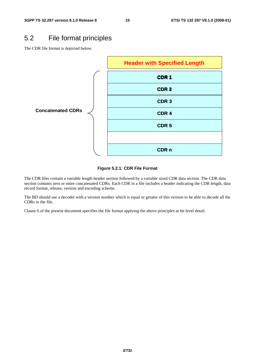### 5.2 File format principles

The CDR file format is depicted below.

![](_page_15_Figure_5.jpeg)

The CDR files contain a variable length header section followed by a variable sized CDR data section. The CDR data section contains zero or more concatenated CDRs. Each CDR in a file includes a header indicating the CDR length, data record format, release, version and encoding scheme.

The BD should use a decoder with a version number which is equal or greater of this version to be able to decode all the CDRs in the file.

Clause 6 of the present document specifies the file format applying the above principles at bit level detail.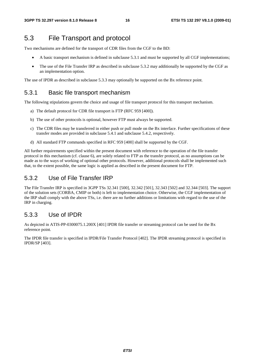### 5.3 File Transport and protocol

Two mechanisms are defined for the transport of CDR files from the CGF to the BD:

- A basic transport mechanism is defined in subclause 5.3.1 and must be supported by all CGF implementations;
- The use of the File Transfer IRP as described in subclause 5.3.2 may additionally be supported by the CGF as an implementation option.

The use of IPDR as described in subclause 5.3.3 may optionally be supported on the Bx reference point.

#### 5.3.1 Basic file transport mechanism

The following stipulations govern the choice and usage of file transport protocol for this transport mechanism.

- a) The default protocol for CDR file transport is FTP (RFC 959 [400]).
- b) The use of other protocols is optional, however FTP must always be supported.
- c) The CDR files may be transferred in either push or pull mode on the Bx interface. Further specifications of these transfer modes are provided in subclause 5.4.1 and subclause 5.4.2, respectively.
- d) All standard FTP commands specified in RFC 959 [400] shall be supported by the CGF.

All further requirements specified within the present document with reference to the operation of the file transfer protocol in this mechanism (cf. clause 6), are solely related to FTP as the transfer protocol, as no assumptions can be made as to the ways of working of optional other protocols. However, additional protocols shall be implemented such that, to the extent possible, the same logic is applied as described in the present document for FTP.

### 5.3.2 Use of File Transfer IRP

The File Transfer IRP is specified in 3GPP TSs 32.341 [500], 32.342 [501], 32.343 [502] and 32.344 [503]. The support of the solution sets (CORBA, CMIP or both) is left to implementation choice. Otherwise, the CGF implementation of the IRP shall comply with the above TSs, i.e. there are no further additions or limitations with regard to the use of the IRP in charging.

### 5.3.3 Use of IPDR

As depicted in ATIS-PP-0300075.1.200X [401] IPDR file transfer or streaming protocol can be used for the Bx reference point.

The IPDR file transfer is specified in IPDR/File Transfer Protocol [402]. The IPDR streaming protocol is specified in IPDR/SP [403].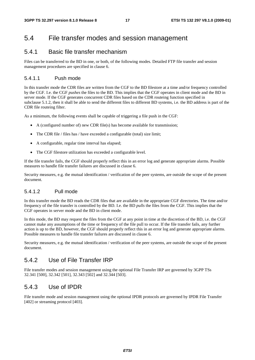### 5.4 File transfer modes and session management

#### 5.4.1 Basic file transfer mechanism

Files can be transferred to the BD in one, or both, of the following modes. Detailed FTP file transfer and session management procedures are specified in clause 6.

#### 5.4.1.1 Push mode

In this transfer mode the CDR files are written from the CGF to the BD filestore at a time and/or frequency controlled by the CGF. I.e. the CGF *pushes* the files to the BD. This implies that the CGF operates in client mode and the BD in server mode. If the CGF generates concurrent CDR files based on the CDR routeing function specified in subclause 5.1.2, then it shall be able to send the different files to different BD systems, i.e. the BD address is part of the CDR file routeing filter.

As a minimum, the following events shall be capable of triggering a file push in the CGF:

- A (configured number of) new CDR file(s) has become available for transmission;
- The CDR file / files has / have exceeded a configurable (total) size limit;
- A configurable, regular time interval has elapsed;
- The CGF filestore utilization has exceeded a configurable level.

If the file transfer fails, the CGF should properly reflect this in an error log and generate appropriate alarms. Possible measures to handle file transfer failures are discussed in clause 6.

Security measures, e.g. the mutual identification / verification of the peer systems, are outside the scope of the present document.

#### 5.4.1.2 Pull mode

In this transfer mode the BD reads the CDR files that are available in the appropriate CGF directories. The time and/or frequency of the file transfer is controlled by the BD. I.e. the BD *pulls* the files from the CGF. This implies that the CGF operates in server mode and the BD in client mode.

In this mode, the BD may request the files from the CGF at any point in time at the discretion of the BD, i.e. the CGF cannot make any assumptions of the time or frequency of the file pull to occur. If the file transfer fails, any further action is up to the BD, however, the CGF should properly reflect this in an error log and generate appropriate alarms. Possible measures to handle file transfer failures are discussed in clause 6.

Security measures, e.g. the mutual identification / verification of the peer systems, are outside the scope of the present document.

### 5.4.2 Use of File Transfer IRP

File transfer modes and session management using the optional File Transfer IRP are governed by 3GPP TSs 32.341 [500], 32.342 [501], 32.343 [502] and 32.344 [503].

#### 5.4.3 Use of IPDR

File transfer mode and session management using the optional IPDR protocols are governed by IPDR File Transfer [402] or streaming protocol [403].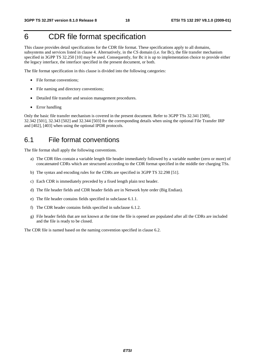### 6 CDR file format specification

This clause provides detail specifications for the CDR file format. These specifications apply to all domains, subsystems and services listed in clause 4. Alternatively, in the CS domain (i.e. for Bc), the file transfer mechanism specified in 3GPP TS 32.250 [10] may be used. Consequently, for Bc it is up to implementation choice to provide either the legacy interface, the interface specified in the present document, or both.

The file format specification in this clause is divided into the following categories:

- File format conventions;
- File naming and directory conventions;
- Detailed file transfer and session management procedures.
- Error handling

Only the basic file transfer mechanism is covered in the present document. Refer to 3GPP TSs 32.341 [500], 32.342 [501], 32.343 [502] and 32.344 [503] for the corresponding details when using the optional File Transfer IRP and [402], [403] when using the optional IPDR protocols.

### 6.1 File format conventions

The file format shall apply the following conventions.

- a) The CDR files contain a variable length file header immediately followed by a variable number (zero or more) of concatenated CDRs which are structured according to the CDR format specified in the middle tier charging TSs.
- b) The syntax and encoding rules for the CDRs are specified in 3GPP TS 32.298 [51].
- c) Each CDR is immediately preceded by a fixed length plain text header.
- d) The file header fields and CDR header fields are in Network byte order (Big Endian).
- e) The file header contains fields specified in subclause 6.1.1.
- f) The CDR header contains fields specified in subclause 6.1.2.
- g) File header fields that are not known at the time the file is opened are populated after all the CDRs are included and the file is ready to be closed.

The CDR file is named based on the naming convention specified in clause 6.2.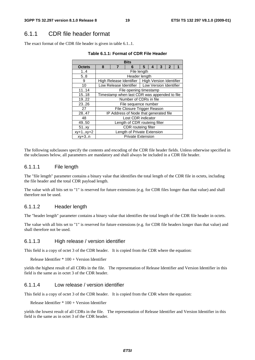### 6.1.1 CDR file header format

The exact format of the CDR file header is given in table 6.1..1.

| <b>Bits</b>     |                                        |                                              |                                                   |   |   |   |                |   |  |
|-----------------|----------------------------------------|----------------------------------------------|---------------------------------------------------|---|---|---|----------------|---|--|
| <b>Octets</b>   | 8                                      | 7                                            | 6                                                 | 5 | 4 | 3 | $\overline{2}$ | 1 |  |
| 1.4             |                                        |                                              | File length                                       |   |   |   |                |   |  |
| 5.8             |                                        |                                              | Header length                                     |   |   |   |                |   |  |
| 9               |                                        |                                              | High Release Identifier   High Version Identifier |   |   |   |                |   |  |
| 10              |                                        |                                              | Low Release Identifier   Low Version Identifier   |   |   |   |                |   |  |
| 11.14           |                                        |                                              | File opening timestamp                            |   |   |   |                |   |  |
| 15.18           |                                        | Timestamp when last CDR was appended to file |                                                   |   |   |   |                |   |  |
| 19.22           |                                        | Number of CDRs in file                       |                                                   |   |   |   |                |   |  |
| 23.26           |                                        | File sequence number                         |                                                   |   |   |   |                |   |  |
| 27              | File Closure Trigger Reason            |                                              |                                                   |   |   |   |                |   |  |
| 2847            | IP Address of Node that generated file |                                              |                                                   |   |   |   |                |   |  |
| 48              | Lost CDR indicator                     |                                              |                                                   |   |   |   |                |   |  |
| 49.50           | Length of CDR routeing filter          |                                              |                                                   |   |   |   |                |   |  |
| 51.xy           |                                        | CDR routeing filter                          |                                                   |   |   |   |                |   |  |
| $xy + 1.xy + 2$ |                                        |                                              | Length of Private Extension                       |   |   |   |                |   |  |
| $xy+3.n$        |                                        |                                              | <b>Private Extension</b>                          |   |   |   |                |   |  |

|  |  |  | Table 6.1.1: Format of CDR File Header |
|--|--|--|----------------------------------------|
|--|--|--|----------------------------------------|

The following subclauses specify the contents and encoding of the CDR file header fields. Unless otherwise specified in the subclauses below, all parameters are mandatory and shall always be included in a CDR file header.

#### 6.1.1.1 File length

The "file length" parameter contains a binary value that identifies the total length of the CDR file in octets, including the file header and the total CDR payload length.

The value with all bits set to "1" is reserved for future extensions (e.g. for CDR files longer than that value) and shall therefore not be used.

#### 6.1.1.2 Header length

The "header length" parameter contains a binary value that identifies the total length of the CDR file header in octets.

The value with all bits set to "1" is reserved for future extensions (e.g. for CDR file headers longer than that value) and shall therefore not be used.

#### 6.1.1.3 High release / version identifier

This field is a copy of octet 3 of the CDR header. It is copied from the CDR where the equation:

Release Identifier \* 100 + Version Identifier

yields the highest result of all CDRs in the file. The representation of Release Identifier and Version Identifier in this field is the same as in octet 3 of the CDR header.

#### 6.1.1.4 Low release / version identifier

This field is a copy of octet 3 of the CDR header. It is copied from the CDR where the equation:

Release Identifier \* 100 + Version Identifier

yields the lowest result of all CDRs in the file. The representation of Release Identifier and Version Identifier in this field is the same as in octet 3 of the CDR header.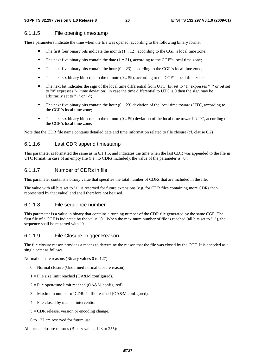#### 6.1.1.5 File opening timestamp

These parameters indicate the time when the file was opened, according to the following binary format:

- The first four binary bits indicate the month  $(1 \dots 12)$ , according to the CGF"s local time zone;<br>The next five binary bits contain the date  $(1 \dots 31)$  according to the CGF"s local time zone;
- The next five binary bits contain the date  $(1:: 31)$ , according to the CGF"s local time zone;<br>The next five binary bits contain the hour  $(0, 23)$  according to the CGF"s local time zone;
- The next five binary bits contain the hour  $(0 \dots 23)$ , according to the CGF"s local time zone;<br>The next six binary bits contain the minute  $(0 \quad 59)$  according to the CGF"s local time zone
- 
- The next six binary bits contain the minute  $(0 \dots 59)$ , according to the CGF"s local time zone;<br>The next bit indicates the sign of the local time differential from UTC (bit set to "1" expresses "+" or bit set The next bit indicates the sign of the local time differential from UTC (bit set to "1" expresses "+" or bit set to "0" expresses "-" time deviation), in case the time differential to UTC is 0 then the sign may be arbitrarily set to "+" or "-";
- The next five binary bits contain the hour (0 .. 23) deviation of the local time towards UTC, according to the CGF"s local time zone;
- The next six binary bits contain the minute  $(0 \dots 59)$  deviation of the local time towards UTC, according to the CGF"s local time zone;

Note that the CDR file name contains detailed date and time information related to file closure (cf. clause 6.2)

#### 6.1.1.6 Last CDR append timestamp

This parameter is formatted the same as in 6.1.1.5, and indicates the time when the last CDR was appended to the file in UTC format. In case of an empty file (i.e. no CDRs included), the value of the parameter is "0".

#### 6.1.1.7 Number of CDRs in file

This parameter contains a binary value that specifies the total number of CDRs that are included in the file.

The value with all bits set to "1" is reserved for future extensions (e.g. for CDR files containing more CDRs than represented by that value) and shall therefore not be used.

#### 6.1.1.8 File sequence number

This parameter is a value in binary that contains a running number of the CDR file generated by the same CGF. The first file of a CGF is indicated by the value "0". When the maximum number of file is reached (all bits set to "1"), the sequence shall be restarted with "0".

#### 6.1.1.9 File Closure Trigger Reason

The file closure reason provides a means to determine the reason that the file was closed by the CGF. It is encoded as a single octet as follows.

Normal closure reasons (Binary values 0 to 127):

- $0 =$  Normal closure (Undefined normal closure reason).
- $1 =$  File size limit reached (OA&M configured).
- $2 =$  File open-time limit reached (OA&M configured).
- $3 =$  Maximum number of CDRs in file reached (OA&M configured).
- $4 =$  File closed by manual intervention.
- $5 = CDR$  release, version or encoding change.
- 6 to 127 are reserved for future use.

Abnormal closure reasons (Binary values 128 to 255):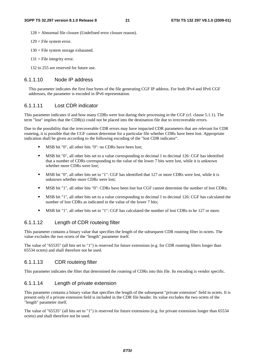$128$  = Abnormal file closure (Undefined error closure reason).

- 129 = File system error.
- $130$  = File system storage exhausted.
- $131$  = File integrity error.

132 to 255 are reserved for future use.

#### 6.1.1.10 Node IP address

This parameter indicates the first four bytes of the file generating CGF IP address. For both IPv4 and IPv6 CGF addresses, the parameter is encoded in IPv6 representation.

#### 6.1.1.11 Lost CDR indicator

This parameter indicates if and how many CDRs were lost during their processing in the CGF (cf. clause 5.1.1). The term "lost" implies that the CDR(s) could not be placed into the destination file due to irrecoverable errors.

Due to the possibility that the irrecoverable CDR errors may have impacted CDR parameters that are relevant for CDR routeing, it is possible that the CGF cannot determine for a particular file whether CDRs have been lost. Appropriate indication shall be given according to the following encoding of the "lost CDR indicator".

- 
- MSB bit "0", all other bits "0": no CDRs have been lost;<br>MSB bit "0", all other bits set to a value corresponding to decimal 1 to decimal 126: CGF has identified MSB bit "0", all other bits set to a value corresponding to decimal 1 to decimal 126: CGF has identified that a number of CDRs corresponding to the value of the lower 7 bits were lost, while it is unknown whether more CDRs were lost;
- MSB bit "0", all other bits set to "1": CGF has identified that 127 or more CDRs were lost, while it is unknown whether more CDRs were lost;
- MSB bit "1", all other bits "0": CDRs have been lost but CGF cannot determine the number of lost CDRs;
- MSB bit "1", all other bits set to a value corresponding to decimal 1 to decimal 126: CGF has calculated the number of lost CDRs as indicated in the value of the lower 7 bits;
- MSB bit "1", all other bits set to "1": CGF has calculated the number of lost CDRs to be 127 or more.

#### 6.1.1.12 Length of CDR routeing filter

This parameter contains a binary value that specifies the length of the subsequent CDR routeing filter in octets. The value excludes the two octets of the "length" parameter itself.

The value of "65535" (all bits set to "1") is reserved for future extensions (e.g. for CDR routeing filters longer than 65534 octets) and shall therefore not be used.

#### 6.1.1.13 CDR routeing filter

This parameter indicates the filter that determined the routeing of CDRs into this file. Its encoding is vendor specific.

#### 6.1.1.14 Length of private extension

This parameter contains a binary value that specifies the length of the subsequent "private extension" field in octets. It is present only if a private extension field is included in the CDR file header. Its value excludes the two octets of the "length" parameter itself.

The value of "65535" (all bits set to "1") is reserved for future extensions (e.g. for private extensions longer than 65534 octets) and shall therefore not be used.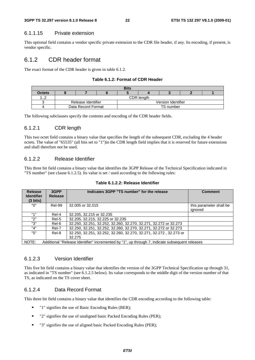#### **3GPP TS 32.297 version 8.1.0 Release 8 22 ETSI TS 132 297 V8.1.0 (2009-01)**

#### 6.1.1.15 Private extension

This optional field contains a vendor specific private extension to the CDR file header, if any. Its encoding, if present, is vendor specific.

#### 6.1.2 CDR header format

The exact format of the CDR header is given in table 6.1.2.

#### **Table 6.1.2: Format of CDR Header**

| <b>Bits</b> |  |                                          |  |  |  |           |  |  |  |  |
|-------------|--|------------------------------------------|--|--|--|-----------|--|--|--|--|
| Octets      |  |                                          |  |  |  |           |  |  |  |  |
| ے. .        |  | CDR length                               |  |  |  |           |  |  |  |  |
|             |  | Release Identifier<br>Version Identifier |  |  |  |           |  |  |  |  |
|             |  | Data Record Format                       |  |  |  | TS number |  |  |  |  |

The following subclauses specify the contents and encoding of the CDR header fields.

#### 6.1.2.1 CDR length

This two octet field contains a binary value that specifies the length of the subsequent CDR, excluding the 4 header octets. The value of "65535" (all bits set to "1")in the CDR length field implies that it is reserved for future extensions and shall therefore not be used.

#### 6.1.2.2 Release Identifier

This three bit field contains a binary value that identifies the 3GPP Release of the Technical Specification indicated in "TS number" (see clause 6.1.2.5). Its value is set / used according to the following rules:

| <b>Release</b><br><b>Identifier</b> | Indicates 3GPP "TS number" for the release<br>3GPP<br><b>Release</b> |                                                                                                | <b>Comment</b>                     |
|-------------------------------------|----------------------------------------------------------------------|------------------------------------------------------------------------------------------------|------------------------------------|
| $(3 \text{ bits})$                  |                                                                      |                                                                                                |                                    |
| "በ"                                 | <b>Rel-99</b>                                                        | 32,005 or 32,015                                                                               | this parameter shall be<br>ignored |
| #4#                                 | Rel-4                                                                | 32.205, 32.215 or 32.235                                                                       |                                    |
| "2"                                 | Rel-5                                                                | 32.205, 32.215, 32.225 or 32.235                                                               |                                    |
| "3"                                 | Rel-6                                                                | 32.250, 32.251, 32.252, 32.260, 32.270, 32.271, 32.272 or 32.273                               |                                    |
| "4"                                 | Rel-7                                                                | 32.250, 32.251, 32.252, 32.260, 32.270, 32.271, 32.272 or 32.273                               |                                    |
| "5"                                 | Rel-8                                                                | 32.250, 32.251, 32.252, 32.260, 32.270, 32.271, 32.272, 32.273 or                              |                                    |
|                                     |                                                                      | 32.275                                                                                         |                                    |
| NOTE:                               |                                                                      | Additional "Release Identifier" incremented by "1", up through 7, indicate subsequent releases |                                    |

**Table 6.1.2.2: Release Identifier** 

#### 6.1.2.3 Version Identifier

This five bit field contains a binary value that identifies the version of the 3GPP Technical Specification up through 31, as indicated in "TS number" (see 6.1.2.5 below). Its value corresponds to the middle digit of the version number of that TS, as indicated on the TS cover sheet.

#### 6.1.2.4 Data Record Format

This three bit field contains a binary value that identifies the CDR encoding according to the following table:

- "1" signifies the use of Basic Encoding Rules (BER);
- "2" signifies the use of unaligned basic Packed Encoding Rules (PER);
- "3" signifies the use of aligned basic Packed Encoding Rules (PER);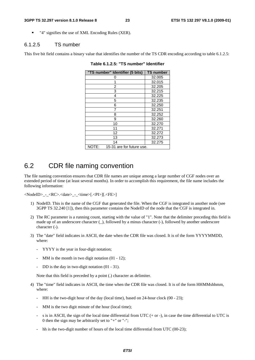#### **3GPP TS 32.297 version 8.1.0 Release 8 23 ETSI TS 132 297 V8.1.0 (2009-01)**

"4" signifies the use of XML Encoding Rules (XER).

#### 6.1.2.5 TS number

This five bit field contains a binary value that identifies the number of the TS CDR encoding according to table 6.1.2.5:

| "TS number" Identifier (5 bits)    | <b>TS number</b> |
|------------------------------------|------------------|
| 0                                  | 32.005           |
| 1                                  | 32.015           |
| 2                                  | 32.205           |
| 3                                  | 32.215           |
| 4                                  | 32.225           |
| 5                                  | 32.235           |
| 6                                  | 32.250           |
| 7                                  | 32.251           |
| 8                                  | 32.252           |
| 9                                  | 32.260           |
| 10                                 | 32.270           |
| 11                                 | 32.271           |
| 12                                 | 32.272           |
| 13                                 | 32.273           |
| 14                                 | 32.275           |
| NOTE:<br>15-31 are for future use. |                  |

**Table 6.1.2.5: "TS number" Identifier** 

### 6.2 CDR file naming convention

The file naming convention ensures that CDR file names are unique among a large number of CGF nodes over an extended period of time (at least several months). In order to accomplish this requirement, the file name includes the following information:

<NodeID>\_-\_<RC>.<date>\_-\_<time>[.<PI>][.<FE>]

- 1) NodeID. This is the name of the CGF that generated the file. When the CGF is integrated in another node (see 3GPP TS 32.240 [1]), then this parameter contains the NodeID of the node that the CGF is integrated in.
- 2) The RC parameter is a running count, starting with the value of "1". Note that the delimiter preceding this field is made up of an underscore character (\_), followed by a minus character (-), followed by another underscore character (-).
- 3) The "date" field indicates in ASCII, the date when the CDR file was closed. It is of the form YYYYMMDD, where:
	- YYYY is the year in four-digit notation;
	- MM is the month in two digit notation  $(01 12)$ ;
	- DD is the day in two-digit notation  $(01 31)$ .

Note that this field is preceded by a point (.) character as delimiter.

- 4) The "time" field indicates in ASCII, the time when the CDR file was closed. It is of the form HHMMshhmm, where:
	- HH is the two-digit hour of the day (local time), based on 24-hour clock (00 23);
	- MM is the two digit minute of the hour (local time);
	- s is in ASCII, the sign of the local time differential from UTC  $(+ or -)$ , in case the time differential to UTC is 0 then the sign may be arbitrarily set to "+" or "-";
	- hh is the two-digit number of hours of the local time differential from UTC (00-23);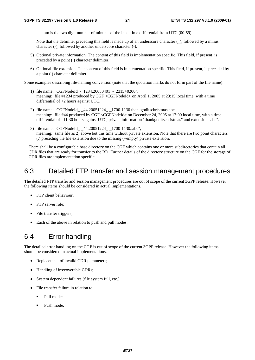mm is the two digit number of minutes of the local time differential from UTC (00-59).

Note that the delimiter preceding this field is made up of an underscore character  $(\_)$ , followed by a minus character (-), followed by another underscore character (-).

- 5) Optional private information. The content of this field is implementation specific. This field, if present, is preceded by a point (.) character delimiter.
- 6) Optional file extension. The content of this field is implementation specific. This field, if present, is preceded by a point (.) character delimiter.

Some examples describing file-naming convention (note that the quotation marks do not form part of the file name):

- 1) file name: "CGFNodeId\_-\_1234.20050401\_-\_2315+0200", meaning: file #1234 produced by CGF <CGFNodeId> on April 1, 2005 at 23:15 local time, with a time differential of +2 hours against UTC.
- 2) file name: "CGFNodeId\_-\_44.20051224\_-\_1700-1130.thankgoditschristmas.abc", meaning: file #44 produced by CGF <CGFNodeId> on December 24, 2005 at 17:00 local time, with a time differential of –11:30 hours against UTC, private information "thankgoditschristmas" and extension "abc".
- 3) file name: "CGFNodeId\_-\_44.20051224\_-\_1700-1130..abc", meaning: same file as 2) above but this time without private extension. Note that there are two point characters (.) preceding the file extension due to the missing (=empty) private extension.

There shall be a configurable base directory on the CGF which contains one or more subdirectories that contain all CDR files that are ready for transfer to the BD. Further details of the directory structure on the CGF for the storage of CDR files are implementation specific.

### 6.3 Detailed FTP transfer and session management procedures

The detailed FTP transfer and session management procedures are out of scope of the current 3GPP release. However the following items should be considered in actual implementations.

- FTP client behaviour:
- FTP server role:
- File transfer triggers;
- Each of the above in relation to push and pull modes.

### 6.4 Error handling

The detailed error handling on the CGF is out of scope of the current 3GPP release. However the following items should be considered in actual implementations.

- Replacement of invalid CDR parameters;
- Handling of irrecoverable CDRs;
- System dependent failures (file system full, etc.);
- File transfer failure in relation to
	- Pull mode;
	- Push mode.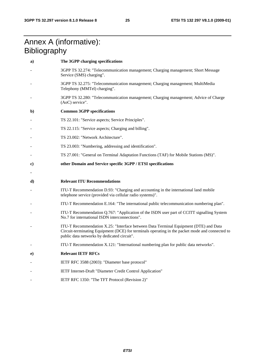### Annex A (informative): **Bibliography**

| a)       | The 3GPP charging specifications                                                                                                                                                                                                       |
|----------|----------------------------------------------------------------------------------------------------------------------------------------------------------------------------------------------------------------------------------------|
|          | 3GPP TS 32.274: "Telecommunication management; Charging management; Short Message<br>Service (SMS) charging".                                                                                                                          |
|          | 3GPP TS 32.275: "Telecommunication management; Charging management; MultiMedia<br>Telephony (MMTel) charging".                                                                                                                         |
|          | 3GPP TS 32.280: "Telecommunication management; Charging management; Advice of Charge<br>(AoC) service".                                                                                                                                |
| b)       | <b>Common 3GPP specifications</b>                                                                                                                                                                                                      |
|          | TS 22.101: "Service aspects; Service Principles".                                                                                                                                                                                      |
|          | TS 22.115: "Service aspects; Charging and billing".                                                                                                                                                                                    |
|          | TS 23.002: "Network Architecture".                                                                                                                                                                                                     |
|          | TS 23.003: "Numbering, addressing and identification".                                                                                                                                                                                 |
|          | TS 27.001: "General on Terminal Adaptation Functions (TAF) for Mobile Stations (MS)".                                                                                                                                                  |
| $\bf c)$ | other Domain and Service specific 3GPP / ETSI specifications                                                                                                                                                                           |
|          |                                                                                                                                                                                                                                        |
| d)       | <b>Relevant ITU Recommendations</b>                                                                                                                                                                                                    |
|          | ITU-T Recommendation D.93: "Charging and accounting in the international land mobile<br>telephone service (provided via cellular radio systems)".                                                                                      |
|          | ITU-T Recommendation E.164: "The international public telecommunication numbering plan".                                                                                                                                               |
|          | ITU-T Recommendation Q.767: "Application of the ISDN user part of CCITT signalling System<br>No.7 for international ISDN interconnections".                                                                                            |
|          | ITU-T Recommendation X.25: "Interface between Data Terminal Equipment (DTE) and Data<br>Circuit-terminating Equipment (DCE) for terminals operating in the packet mode and connected to<br>public data networks by dedicated circuit". |
|          | ITU-T Recommendation X.121: "International numbering plan for public data networks".                                                                                                                                                   |
| $\bf e)$ | <b>Relevant IETF RFCs</b>                                                                                                                                                                                                              |
|          | IETF RFC 3588 (2003): "Diameter base protocol"                                                                                                                                                                                         |
|          | IETF Internet-Draft "Diameter Credit Control Application"                                                                                                                                                                              |
|          | IETF RFC 1350: "The TFT Protocol (Revision 2)"                                                                                                                                                                                         |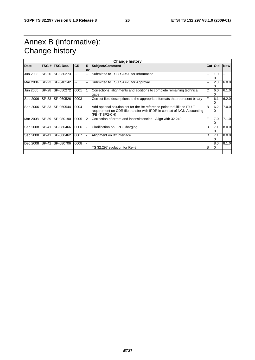## Annex B (informative): Change history

| <b>Change history</b> |              |                |           |    |                                                                                                                                                                       |    |                  |            |  |  |
|-----------------------|--------------|----------------|-----------|----|-----------------------------------------------------------------------------------------------------------------------------------------------------------------------|----|------------------|------------|--|--|
| <b>Date</b>           |              | TSG # TSG Doc. | <b>CR</b> | R  | <b>Subject/Comment</b>                                                                                                                                                |    | Cat Old          | <b>New</b> |  |  |
|                       |              |                |           | ev |                                                                                                                                                                       |    |                  |            |  |  |
| Jun 2003              | <b>SP-20</b> | SP-030273      |           |    | Submitted to TSG SA#20 for Information                                                                                                                                | -- | 1.0.             |            |  |  |
| Mar 2004              | SP-23        | SP-040142      |           |    | Submitted to TSG SA#23 for Approval                                                                                                                                   | -- | 2.0.             | 6.0.0      |  |  |
| Jun 2005              | <b>SP-28</b> | SP-050272      | 0001      |    | Corrections, alignments and additions to complete remaining technical<br>gaps                                                                                         | C  | 6.0.             | 6.1.0      |  |  |
| Sep 2006              | SP-33        | SP-060526      | 0003      |    | Correct field descriptions to the appropriate formats that represent binary                                                                                           | F  | 6.1.<br>0        | 6.2.0      |  |  |
| Sep 2006              | SP-33        | SP-060544      | 0004      |    | Add optional solution set for the Bx reference point to fulfil the ITU-T<br>requirement on CDR file transfer with IPDR in context of NGN Accounting<br>(FBI-TISP2-CH) | B  | 6.2.<br>$\Omega$ | 7.0.0      |  |  |
| Mar 2008              | SP-39        | SP-080190      | 0005      | 2  | Correction of errors and inconsistencies - Align with 32.240                                                                                                          | F  | 7.0.<br>0        | 7.1.0      |  |  |
| Sep 2008              | <b>SP-41</b> | SP-080466      | 0006      |    | Clarification on EPC Charging                                                                                                                                         | B  | 7.1.             | 8.0.0      |  |  |
| Sep 2008              | SP-41        | SP-080462      | 0007      |    | Alignment on Bx interface                                                                                                                                             | D  | 7.1.             | 8.0.0      |  |  |
| Dec 2008              | SP-42        | SP-080706      | 0008      |    | TS 32.297 evolution for Rel-8                                                                                                                                         | в  | 8.0.             | 8.1.0      |  |  |
|                       |              |                |           |    |                                                                                                                                                                       |    |                  |            |  |  |